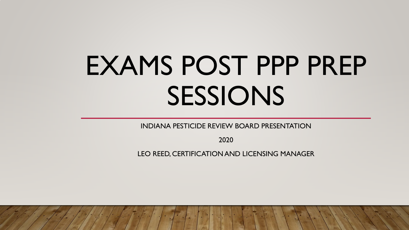# EXAMS POST PPP PREP SESSIONS

INDIANA PESTICIDE REVIEW BOARD PRESENTATION

2020

LEO REED, CERTIFICATION AND LICENSING MANAGER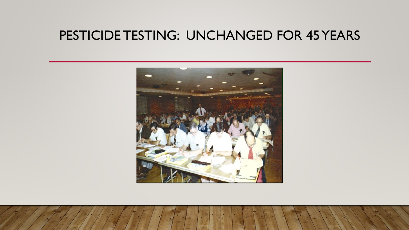## PESTICIDE TESTING: UNCHANGED FOR 45 YEARS

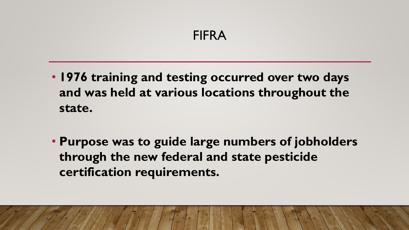## FIFRA

- **1976 training and testing occurred over two days and was held at various locations throughout the state.**
- **Purpose was to guide large numbers of jobholders through the new federal and state pesticide certification requirements.**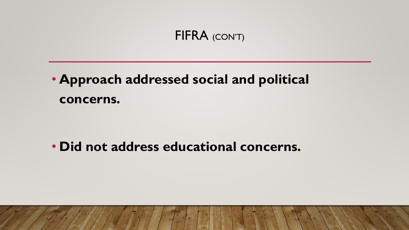#### FIFRA (CON'T)

## • **Approach addressed social and political concerns.**

## • **Did not address educational concerns.**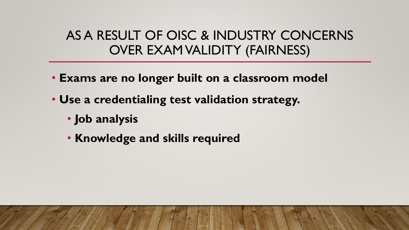## AS A RESULT OF OISC & INDUSTRY CONCERNS OVER EXAM VALIDITY (FAIRNESS)

- **Exams are no longer built on a classroom model**
- **Use a credentialing test validation strategy.**
	- **Job analysis**
	- **Knowledge and skills required**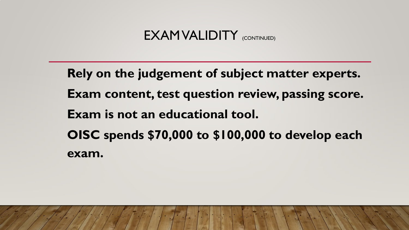**Rely on the judgement of subject matter experts. Exam content, test question review, passing score. Exam is not an educational tool. OISC spends \$70,000 to \$100,000 to develop each exam.**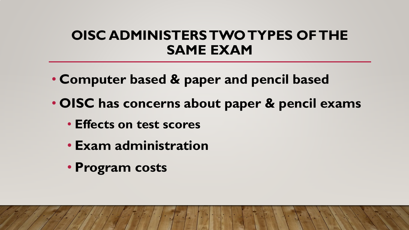## **OISC ADMINISTERS TWO TYPES OF THE SAME EXAM**

- **Computer based & paper and pencil based**
- **OISC has concerns about paper & pencil exams**
	- **Effects on test scores**
	- **Exam administration**
	- **Program costs**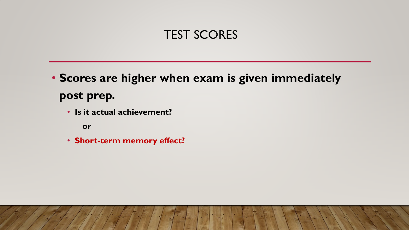#### TEST SCORES

• **Scores are higher when exam is given immediately post prep.**

• **Is it actual achievement?**

**or**

• **Short-term memory effect?**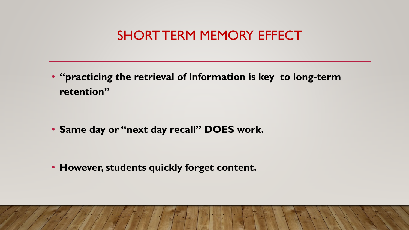## SHORT TERM MEMORY EFFECT

• **"practicing the retrieval of information is key to long-term retention"**

• **Same day or "next day recall" DOES work.**

• **However, students quickly forget content.**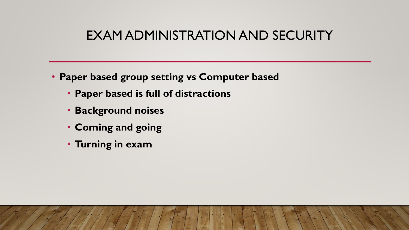## EXAM ADMINISTRATION AND SECURITY

- **Paper based group setting vs Computer based**
	- **Paper based is full of distractions**
	- **Background noises**
	- **Coming and going**
	- **Turning in exam**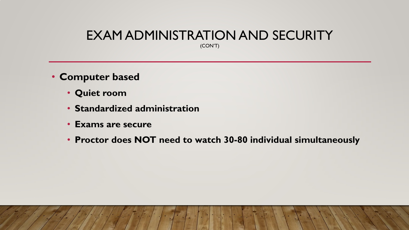## EXAM ADMINISTRATION AND SECURITY

(CON'T)

- **Computer based**
	- **Quiet room**
	- **Standardized administration**
	- **Exams are secure**
	- **Proctor does NOT need to watch 30-80 individual simultaneously**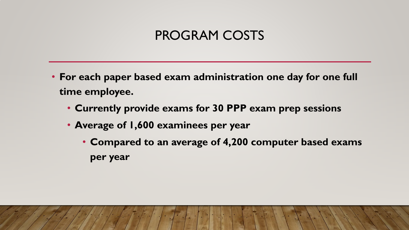## PROGRAM COSTS

- **For each paper based exam administration one day for one full time employee.**
	- **Currently provide exams for 30 PPP exam prep sessions**
	- **Average of 1,600 examinees per year**
		- **Compared to an average of 4,200 computer based exams per year**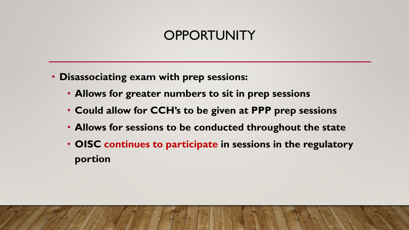## **OPPORTUNITY**

- **Disassociating exam with prep sessions:**
	- **Allows for greater numbers to sit in prep sessions**
	- **Could allow for CCH's to be given at PPP prep sessions**
	- **Allows for sessions to be conducted throughout the state**
	- **OISC continues to participate in sessions in the regulatory portion**